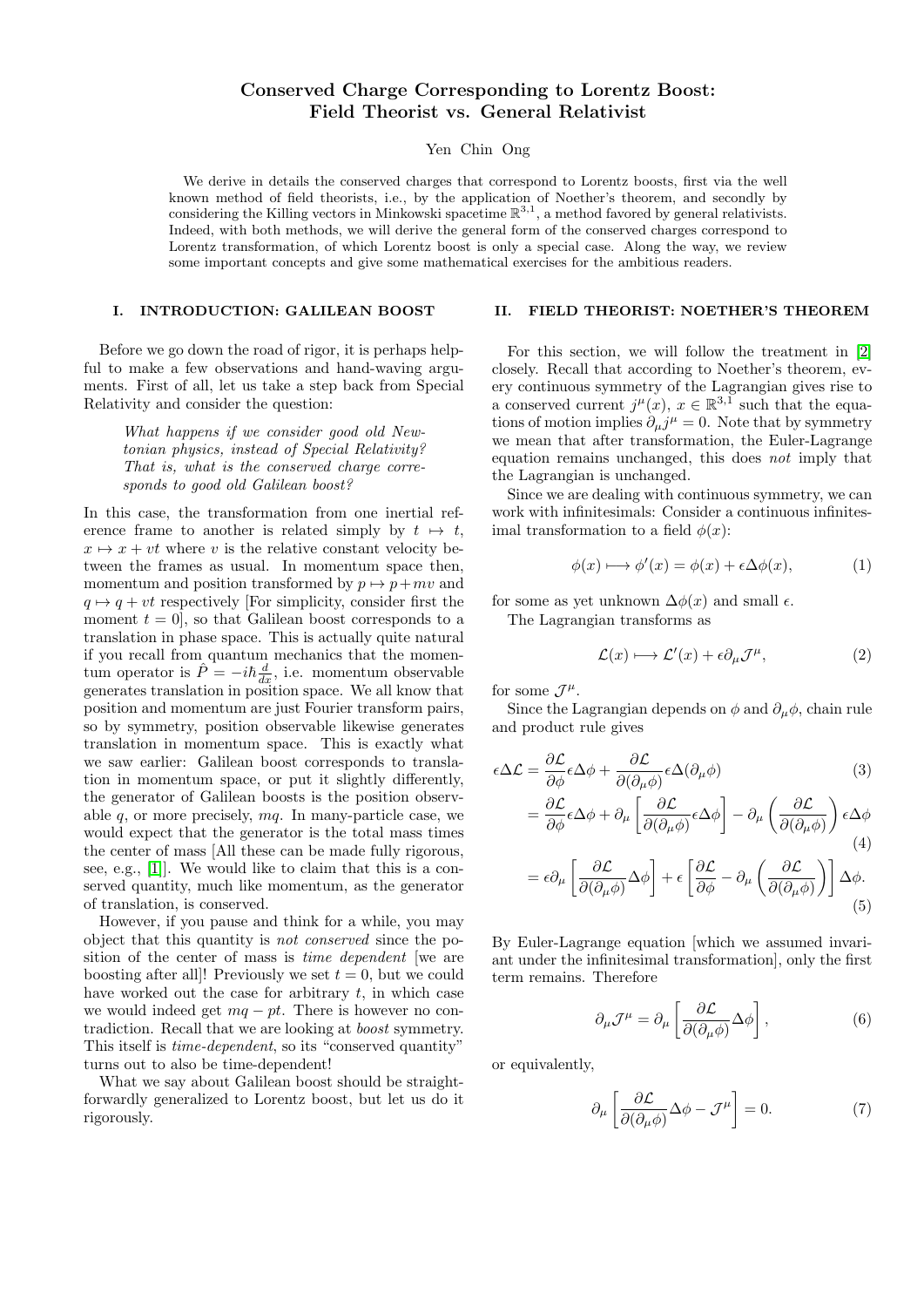# Conserved Charge Corresponding to Lorentz Boost: Field Theorist vs. General Relativist

Yen Chin Ong

We derive in details the conserved charges that correspond to Lorentz boosts, first via the well known method of field theorists, i.e., by the application of Noether's theorem, and secondly by considering the Killing vectors in Minkowski spacetime  $\mathbb{R}^{3,1}$ , a method favored by general relativists. Indeed, with both methods, we will derive the general form of the conserved charges correspond to Lorentz transformation, of which Lorentz boost is only a special case. Along the way, we review some important concepts and give some mathematical exercises for the ambitious readers.

## I. INTRODUCTION: GALILEAN BOOST

Before we go down the road of rigor, it is perhaps helpful to make a few observations and hand-waving arguments. First of all, let us take a step back from Special Relativity and consider the question:

> What happens if we consider good old Newtonian physics, instead of Special Relativity? That is, what is the conserved charge corresponds to good old Galilean boost?

In this case, the transformation from one inertial reference frame to another is related simply by  $t \mapsto t$ ,  $x \mapsto x + vt$  where v is the relative constant velocity between the frames as usual. In momentum space then, momentum and position transformed by  $p \mapsto p + mv$  and  $q \mapsto q + vt$  respectively [For simplicity, consider first the moment  $t = 0$ , so that Galilean boost corresponds to a translation in phase space. This is actually quite natural if you recall from quantum mechanics that the momentum operator is  $\hat{P} = -i\hbar \frac{d}{dx}$ , i.e. momentum observable generates translation in position space. We all know that position and momentum are just Fourier transform pairs, so by symmetry, position observable likewise generates translation in momentum space. This is exactly what we saw earlier: Galilean boost corresponds to translation in momentum space, or put it slightly differently, the generator of Galilean boosts is the position observable  $q$ , or more precisely,  $mq$ . In many-particle case, we would expect that the generator is the total mass times the center of mass [All these can be made fully rigorous, see, e.g., [\[1\]](#page-4-0)]. We would like to claim that this is a conserved quantity, much like momentum, as the generator of translation, is conserved.

However, if you pause and think for a while, you may object that this quantity is not conserved since the position of the center of mass is time dependent [we are boosting after all]! Previously we set  $t = 0$ , but we could have worked out the case for arbitrary  $t$ , in which case we would indeed get  $mq - pt$ . There is however no contradiction. Recall that we are looking at boost symmetry. This itself is time-dependent, so its "conserved quantity" turns out to also be time-dependent!

What we say about Galilean boost should be straightforwardly generalized to Lorentz boost, but let us do it rigorously.

#### II. FIELD THEORIST: NOETHER'S THEOREM

For this section, we will follow the treatment in [\[2\]](#page-4-1) closely. Recall that according to Noether's theorem, every continuous symmetry of the Lagrangian gives rise to a conserved current  $j^{\mu}(x)$ ,  $x \in \mathbb{R}^{3,1}$  such that the equations of motion implies  $\partial_\mu j^\mu = 0$ . Note that by symmetry we mean that after transformation, the Euler-Lagrange equation remains unchanged, this does not imply that the Lagrangian is unchanged.

Since we are dealing with continuous symmetry, we can work with infinitesimals: Consider a continuous infinitesimal transformation to a field  $\phi(x)$ :

$$
\phi(x) \longmapsto \phi'(x) = \phi(x) + \epsilon \Delta \phi(x), \tag{1}
$$

for some as yet unknown  $\Delta \phi(x)$  and small  $\epsilon$ . The Lagrangian transforms as

$$
\mathcal{L}(x) \longmapsto \mathcal{L}'(x) + \epsilon \partial_{\mu} \mathcal{J}^{\mu}, \tag{2}
$$

for some  $\mathcal{J}^{\mu}$ .

Since the Lagrangian depends on  $\phi$  and  $\partial_{\mu}\phi$ , chain rule and product rule gives

$$
\epsilon \Delta \mathcal{L} = \frac{\partial \mathcal{L}}{\partial \phi} \epsilon \Delta \phi + \frac{\partial \mathcal{L}}{\partial (\partial_{\mu} \phi)} \epsilon \Delta (\partial_{\mu} \phi)
$$
(3)  

$$
= \frac{\partial \mathcal{L}}{\partial \phi} \epsilon \Delta \phi + \partial_{\mu} \left[ \frac{\partial \mathcal{L}}{\partial (\partial_{\mu} \phi)} \epsilon \Delta \phi \right] - \partial_{\mu} \left( \frac{\partial \mathcal{L}}{\partial (\partial_{\mu} \phi)} \right) \epsilon \Delta \phi
$$
(4)  

$$
= \epsilon \partial_{\mu} \left[ \frac{\partial \mathcal{L}}{\partial (\partial_{\mu} \phi)} \Delta \phi \right] + \epsilon \left[ \frac{\partial \mathcal{L}}{\partial \phi} - \partial_{\mu} \left( \frac{\partial \mathcal{L}}{\partial (\partial_{\mu} \phi)} \right) \right] \Delta \phi.
$$
(5)

By Euler-Lagrange equation [which we assumed invariant under the infinitesimal transformation], only the first term remains. Therefore

$$
\partial_{\mu} \mathcal{J}^{\mu} = \partial_{\mu} \left[ \frac{\partial \mathcal{L}}{\partial (\partial_{\mu} \phi)} \Delta \phi \right], \tag{6}
$$

or equivalently,

$$
\partial_{\mu} \left[ \frac{\partial \mathcal{L}}{\partial(\partial_{\mu} \phi)} \Delta \phi - \mathcal{J}^{\mu} \right] = 0. \tag{7}
$$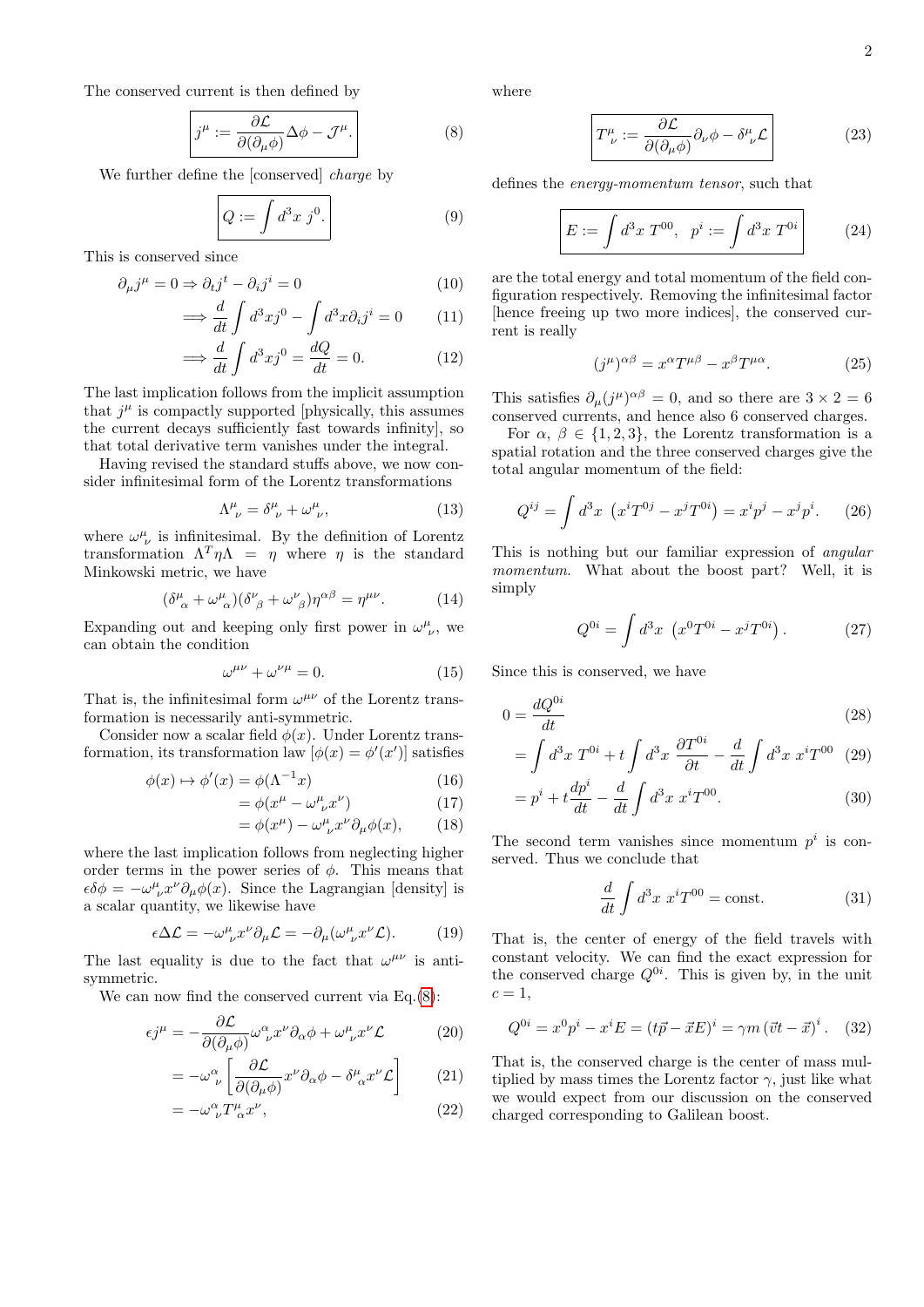2

The conserved current is then defined by

<span id="page-1-0"></span>
$$
j^{\mu} := \frac{\partial \mathcal{L}}{\partial(\partial_{\mu}\phi)} \Delta \phi - \mathcal{J}^{\mu}.
$$
 (8)

We further define the [conserved] charge by

$$
Q := \int d^3x \; j^0. \tag{9}
$$

This is conserved since

$$
\partial_{\mu}j^{\mu} = 0 \Rightarrow \partial_{t}j^{t} - \partial_{i}j^{i} = 0 \tag{10}
$$

$$
\implies \frac{d}{dt} \int d^3x j^0 - \int d^3x \partial_i j^i = 0 \tag{11}
$$
\n
$$
\frac{d}{dt} \int \frac{d^3x}{dt^3} \frac{d^3y}{dt^3} \frac{dQ}{dt^3} \tag{12}
$$

$$
\implies \frac{d}{dt} \int d^3x j^0 = \frac{dQ}{dt} = 0. \tag{12}
$$

The last implication follows from the implicit assumption that  $j^{\mu}$  is compactly supported [physically, this assumes the current decays sufficiently fast towards infinity], so that total derivative term vanishes under the integral.

Having revised the standard stuffs above, we now consider infinitesimal form of the Lorentz transformations

$$
\Lambda^{\mu}_{\ \nu} = \delta^{\mu}_{\ \nu} + \omega^{\mu}_{\ \nu},\tag{13}
$$

where  $\omega^{\mu}_{\ \nu}$  is infinitesimal. By the definition of Lorentz transformation  $\Lambda^T \eta \Lambda = \eta$  where  $\eta$  is the standard Minkowski metric, we have

$$
(\delta^{\mu}_{\ \alpha} + \omega^{\mu}_{\ \alpha})(\delta^{\nu}_{\ \beta} + \omega^{\nu}_{\ \beta})\eta^{\alpha\beta} = \eta^{\mu\nu}.
$$
 (14)

Expanding out and keeping only first power in  $\omega^{\mu}_{\ \nu}$ , we can obtain the condition

$$
\omega^{\mu\nu} + \omega^{\nu\mu} = 0. \tag{15}
$$

That is, the infinitesimal form  $\omega^{\mu\nu}$  of the Lorentz transformation is necessarily anti-symmetric.

Consider now a scalar field  $\phi(x)$ . Under Lorentz transformation, its transformation law  $[\phi(x) = \phi'(x')]$  satisfies

$$
\phi(x) \mapsto \phi'(x) = \phi(\Lambda^{-1}x) \tag{16}
$$

$$
= \phi(x^{\mu} - \omega^{\mu}_{\ \nu} x^{\nu}) \tag{17}
$$

$$
= \phi(x^{\mu}) - \omega^{\mu}_{\ \nu} x^{\nu} \partial_{\mu} \phi(x), \qquad (18)
$$

where the last implication follows from neglecting higher order terms in the power series of  $\phi$ . This means that  $\epsilon \delta \phi = -\omega^{\mu}_{\ \nu} x^{\nu} \partial_{\mu} \phi(x)$ . Since the Lagrangian [density] is a scalar quantity, we likewise have

$$
\epsilon \Delta \mathcal{L} = -\omega^{\mu}_{\ \nu} x^{\nu} \partial_{\mu} \mathcal{L} = -\partial_{\mu} (\omega^{\mu}_{\ \nu} x^{\nu} \mathcal{L}). \tag{19}
$$

The last equality is due to the fact that  $\omega^{\mu\nu}$  is antisymmetric.

We can now find the conserved current via  $Eq.(8)$  $Eq.(8)$ :

$$
\epsilon j^{\mu} = -\frac{\partial \mathcal{L}}{\partial(\partial_{\mu}\phi)}\omega^{\alpha}_{\ \nu}x^{\nu}\partial_{\alpha}\phi + \omega^{\mu}_{\ \nu}x^{\nu}\mathcal{L}
$$
 (20)

$$
= -\omega^{\alpha}_{\ \nu} \left[ \frac{\partial \mathcal{L}}{\partial(\partial_{\mu}\phi)} x^{\nu} \partial_{\alpha}\phi - \delta^{\mu}_{\ \alpha} x^{\nu} \mathcal{L} \right] \tag{21}
$$

$$
= -\omega^{\alpha}_{\ \nu} T^{\mu}_{\ \alpha} x^{\nu}, \tag{22}
$$

where

$$
\boxed{T^{\mu}_{\ \nu} := \frac{\partial \mathcal{L}}{\partial(\partial_{\mu}\phi)} \partial_{\nu}\phi - \delta^{\mu}_{\ \nu}\mathcal{L}}
$$
 (23)

defines the energy-momentum tensor, such that

$$
E := \int d^3x \ T^{00}, \ \ p^i := \int d^3x \ T^{0i} \tag{24}
$$

are the total energy and total momentum of the field configuration respectively. Removing the infinitesimal factor [hence freeing up two more indices], the conserved current is really

$$
(j^{\mu})^{\alpha\beta} = x^{\alpha}T^{\mu\beta} - x^{\beta}T^{\mu\alpha}.
$$
 (25)

This satisfies  $\partial_{\mu} (j^{\mu})^{\alpha\beta} = 0$ , and so there are  $3 \times 2 = 6$ conserved currents, and hence also 6 conserved charges.

For  $\alpha, \beta \in \{1, 2, 3\}$ , the Lorentz transformation is a spatial rotation and the three conserved charges give the total angular momentum of the field:

$$
Q^{ij} = \int d^3x \ \left( x^i T^{0j} - x^j T^{0i} \right) = x^i p^j - x^j p^i. \tag{26}
$$

This is nothing but our familiar expression of angular momentum. What about the boost part? Well, it is simply

$$
Q^{0i} = \int d^3x \, (x^0 T^{0i} - x^j T^{0i}). \tag{27}
$$

Since this is conserved, we have

$$
0 = \frac{dQ^{0i}}{dt} \tag{28}
$$

$$
= \int d^3x \; T^{0i} + t \int d^3x \; \frac{\partial T^{0i}}{\partial t} - \frac{d}{dt} \int d^3x \; x^i T^{00} \tag{29}
$$

$$
= p^{i} + t \frac{dp^{i}}{dt} - \frac{d}{dt} \int d^{3}x \ x^{i} T^{00}.
$$
 (30)

The second term vanishes since momentum  $p^i$  is conserved. Thus we conclude that

$$
\frac{d}{dt} \int d^3x \ x^i T^{00} = \text{const.} \tag{31}
$$

That is, the center of energy of the field travels with constant velocity. We can find the exact expression for the conserved charge  $Q^{0i}$ . This is given by, in the unit  $c=1$ ,

<span id="page-1-1"></span>
$$
Q^{0i} = x^0 p^i - x^i E = (t\vec{p} - \vec{x}E)^i = \gamma m (\vec{v}t - \vec{x})^i. \quad (32)
$$

That is, the conserved charge is the center of mass multiplied by mass times the Lorentz factor  $\gamma$ , just like what we would expect from our discussion on the conserved charged corresponding to Galilean boost.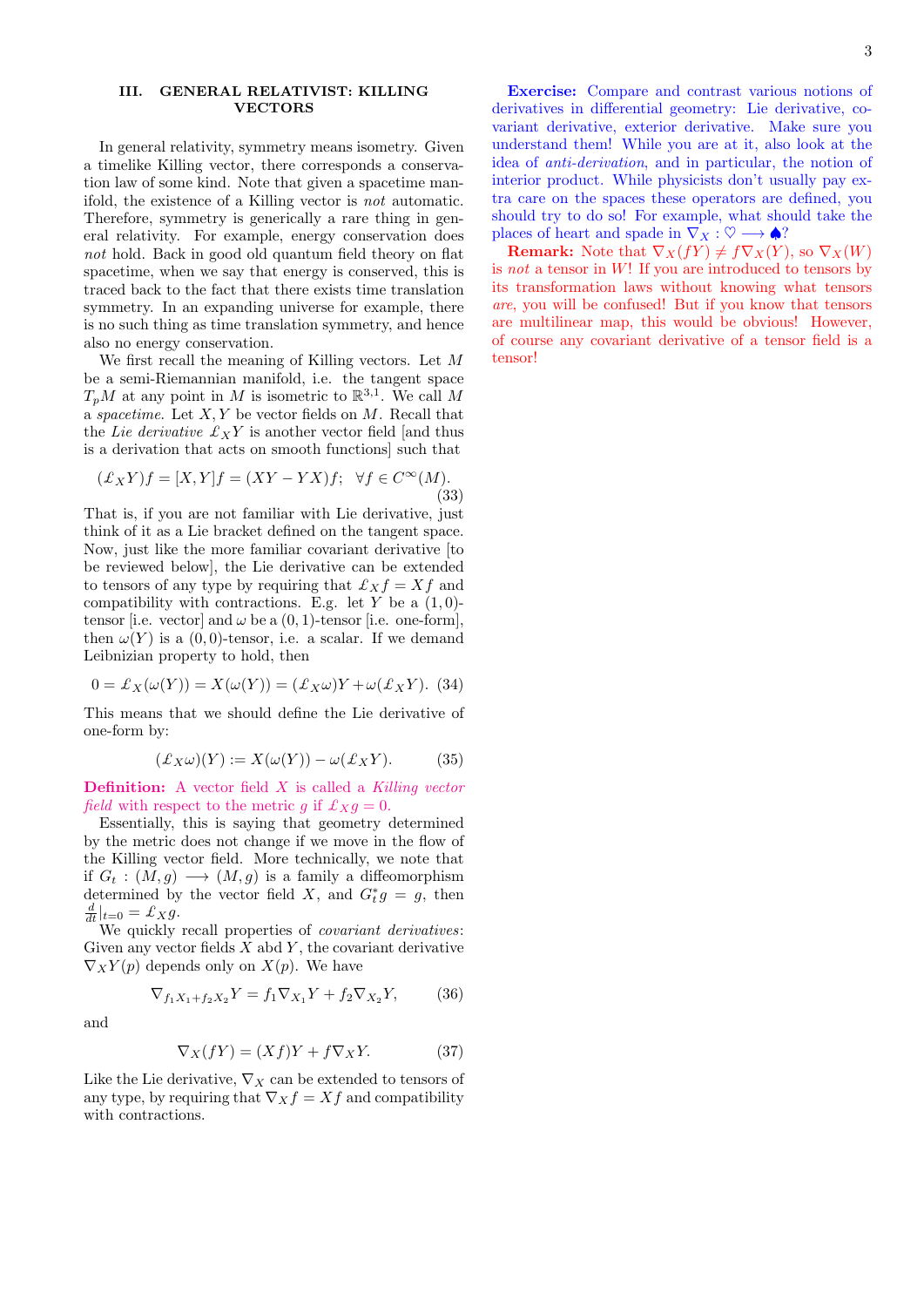## III. GENERAL RELATIVIST: KILLING VECTORS

In general relativity, symmetry means isometry. Given a timelike Killing vector, there corresponds a conservation law of some kind. Note that given a spacetime manifold, the existence of a Killing vector is not automatic. Therefore, symmetry is generically a rare thing in general relativity. For example, energy conservation does not hold. Back in good old quantum field theory on flat spacetime, when we say that energy is conserved, this is traced back to the fact that there exists time translation symmetry. In an expanding universe for example, there is no such thing as time translation symmetry, and hence also no energy conservation.

We first recall the meaning of Killing vectors. Let M be a semi-Riemannian manifold, i.e. the tangent space  $T_pM$  at any point in M is isometric to  $\mathbb{R}^{3,1}$ . We call M a *spacetime*. Let  $X, Y$  be vector fields on  $M$ . Recall that the Lie derivative  $\mathcal{L}_X Y$  is another vector field [and thus is a derivation that acts on smooth functions] such that

$$
(\pounds_X Y)f = [X, Y]f = (XY - YX)f; \quad \forall f \in C^{\infty}(M).
$$
\n(33)

That is, if you are not familiar with Lie derivative, just think of it as a Lie bracket defined on the tangent space. Now, just like the more familiar covariant derivative [to be reviewed below], the Lie derivative can be extended to tensors of any type by requiring that  $\mathcal{L}_X f = X f$  and compatibility with contractions. E.g. let Y be a  $(1,0)$ tensor [i.e. vector] and  $\omega$  be a (0, 1)-tensor [i.e. one-form], then  $\omega(Y)$  is a  $(0, 0)$ -tensor, i.e. a scalar. If we demand Leibnizian property to hold, then

$$
0 = \mathcal{L}_X(\omega(Y)) = X(\omega(Y)) = (\mathcal{L}_X \omega)Y + \omega(\mathcal{L}_X Y). (34)
$$

This means that we should define the Lie derivative of one-form by:

$$
(\pounds_X \omega)(Y) := X(\omega(Y)) - \omega(\pounds_X Y). \tag{35}
$$

**Definition:** A vector field  $X$  is called a Killing vector *field* with respect to the metric q if  $\mathcal{L}_X q = 0$ .

Essentially, this is saying that geometry determined by the metric does not change if we move in the flow of the Killing vector field. More technically, we note that if  $G_t : (M, g) \longrightarrow (M, g)$  is a family a diffeomorphism determined by the vector field X, and  $G_t^*g = g$ , then  $\frac{d}{dt}|_{t=0} = \pounds_X g.$ 

We quickly recall properties of *covariant derivatives*: Given any vector fields  $X$  abd  $Y$ , the covariant derivative  $\nabla_X Y(p)$  depends only on  $X(p)$ . We have

$$
\nabla_{f_1 X_1 + f_2 X_2} Y = f_1 \nabla_{X_1} Y + f_2 \nabla_{X_2} Y, \tag{36}
$$

and

$$
\nabla_X(fY) = (Xf)Y + f\nabla_X Y.
$$
 (37)

Like the Lie derivative,  $\nabla_X$  can be extended to tensors of any type, by requiring that  $\nabla_X f = Xf$  and compatibility with contractions.

Exercise: Compare and contrast various notions of derivatives in differential geometry: Lie derivative, covariant derivative, exterior derivative. Make sure you understand them! While you are at it, also look at the idea of anti-derivation, and in particular, the notion of interior product. While physicists don't usually pay extra care on the spaces these operators are defined, you should try to do so! For example, what should take the places of heart and spade in  $\nabla_X : \heartsuit \longrightarrow \spadesuit$ ?

**Remark:** Note that  $\nabla_X(fY) \neq f\nabla_X(Y)$ , so  $\nabla_X(W)$ is not a tensor in  $W!$ ! If you are introduced to tensors by its transformation laws without knowing what tensors are, you will be confused! But if you know that tensors are multilinear map, this would be obvious! However, of course any covariant derivative of a tensor field is a tensor!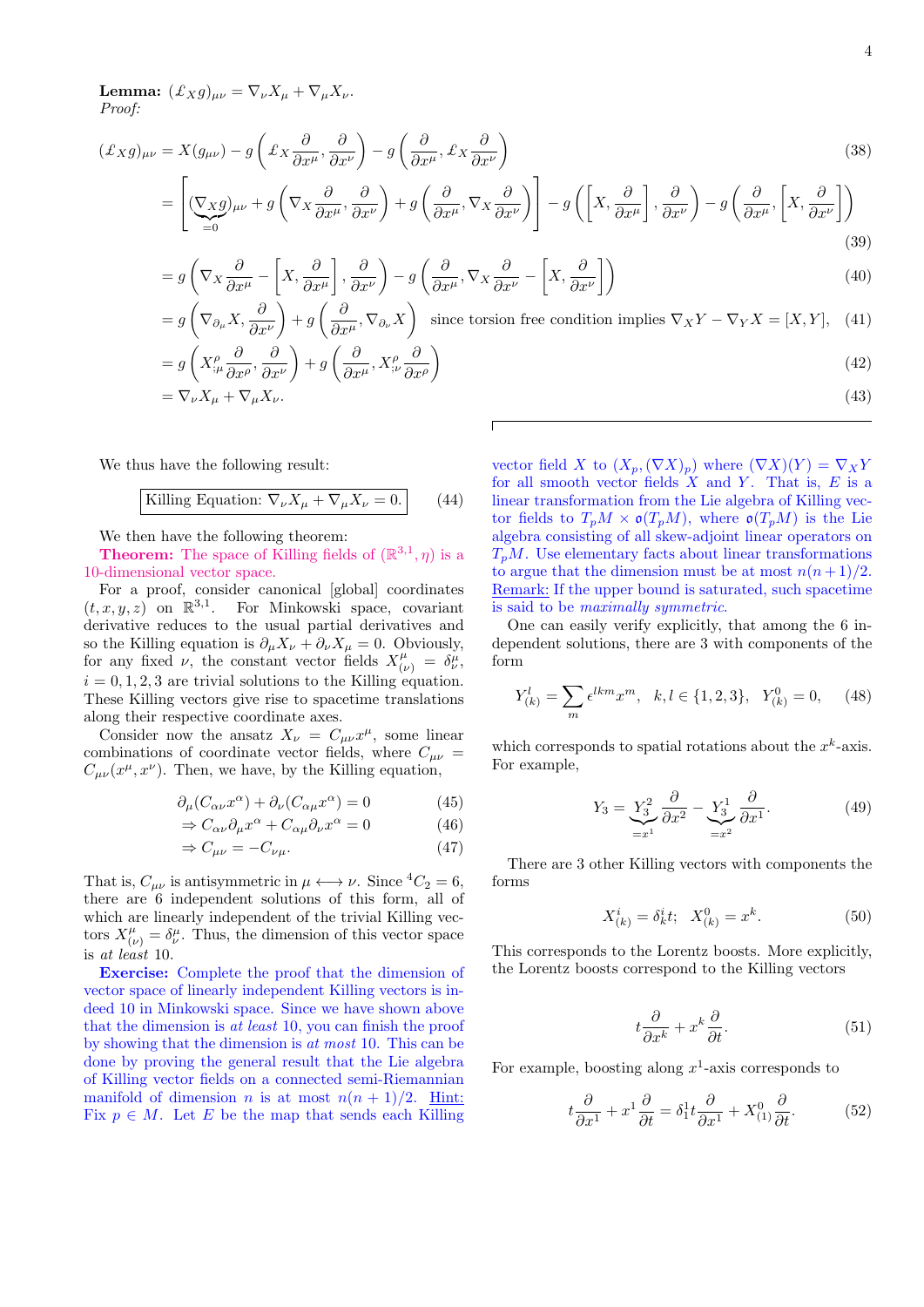**Lemma:**  $(\pounds_X g)_{\mu\nu} = \nabla_{\nu} X_{\mu} + \nabla_{\mu} X_{\nu}$ . Proof:

$$
(\pounds_X g)_{\mu\nu} = X(g_{\mu\nu}) - g\left(\pounds_X \frac{\partial}{\partial x^{\mu}}, \frac{\partial}{\partial x^{\nu}}\right) - g\left(\frac{\partial}{\partial x^{\mu}}, \pounds_X \frac{\partial}{\partial x^{\nu}}\right)
$$
(38)

$$
= \left[ \underbrace{(\nabla_X g)_{\mu\nu} + g \left( \nabla_X \frac{\partial}{\partial x^{\mu}}, \frac{\partial}{\partial x^{\nu}} \right) + g \left( \frac{\partial}{\partial x^{\mu}}, \nabla_X \frac{\partial}{\partial x^{\nu}} \right) \right] - g \left( \left[ X, \frac{\partial}{\partial x^{\mu}} \right], \frac{\partial}{\partial x^{\nu}} \right) - g \left( \frac{\partial}{\partial x^{\mu}}, \left[ X, \frac{\partial}{\partial x^{\nu}} \right] \right) \tag{39}
$$

$$
=g\left(\nabla_X\frac{\partial}{\partial x^\mu}-\left[X,\frac{\partial}{\partial x^\mu}\right],\frac{\partial}{\partial x^\nu}\right)-g\left(\frac{\partial}{\partial x^\mu},\nabla_X\frac{\partial}{\partial x^\nu}-\left[X,\frac{\partial}{\partial x^\nu}\right]\right) \tag{40}
$$

$$
= g\left(\nabla_{\partial_{\mu}} X, \frac{\partial}{\partial x^{\nu}}\right) + g\left(\frac{\partial}{\partial x^{\mu}}, \nabla_{\partial_{\nu}} X\right) \text{ since torsion free condition implies } \nabla_{X} Y - \nabla_{Y} X = [X, Y], \quad (41)
$$
\n
$$
= g\left(X_{;\mu}^{\rho} \frac{\partial}{\partial x^{\rho}}, \frac{\partial}{\partial x^{\nu}}\right) + g\left(\frac{\partial}{\partial x^{\mu}}, X_{;\nu}^{\rho} \frac{\partial}{\partial x^{\rho}}\right)
$$
\n
$$
= \nabla_{\nu} X_{\mu} + \nabla_{\mu} X_{\nu}. \tag{42}
$$

We thus have the following result:

Killing Equation: 
$$
\nabla_{\nu} X_{\mu} + \nabla_{\mu} X_{\nu} = 0.
$$
 (44)

We then have the following theorem:

**Theorem:** The space of Killing fields of  $(\mathbb{R}^{3,1}, \eta)$  is a 10-dimensional vector space.

For a proof, consider canonical [global] coordinates  $(t, x, y, z)$  on  $\mathbb{R}^{3,1}$ . For Minkowski space, covariant derivative reduces to the usual partial derivatives and so the Killing equation is  $\partial_{\mu}X_{\nu} + \partial_{\nu}X_{\mu} = 0$ . Obviously, for any fixed  $\nu$ , the constant vector fields  $X^{\mu}_{(\nu)} = \delta^{\mu}_{\nu}$ ,  $i = 0, 1, 2, 3$  are trivial solutions to the Killing equation. These Killing vectors give rise to spacetime translations along their respective coordinate axes.

Consider now the ansatz  $X_{\nu} = C_{\mu\nu} x^{\mu}$ , some linear combinations of coordinate vector fields, where  $C_{\mu\nu}$  =  $C_{\mu\nu}(x^{\mu},x^{\nu})$ . Then, we have, by the Killing equation,

$$
\partial_{\mu}(C_{\alpha\nu}x^{\alpha}) + \partial_{\nu}(C_{\alpha\mu}x^{\alpha}) = 0 \tag{45}
$$

$$
\Rightarrow C_{\alpha\nu}\partial_{\mu}x^{\alpha} + C_{\alpha\mu}\partial_{\nu}x^{\alpha} = 0 \tag{46}
$$

$$
\Rightarrow C_{\mu\nu} = -C_{\nu\mu}.\tag{47}
$$

That is,  $C_{\mu\nu}$  is antisymmetric in  $\mu \longleftrightarrow \nu$ . Since  ${}^4C_2 = 6$ , there are 6 independent solutions of this form, all of which are linearly independent of the trivial Killing vectors  $X^{\mu}_{(\nu)} = \delta^{\mu}_{\nu}$ . Thus, the dimension of this vector space is at least 10.

Exercise: Complete the proof that the dimension of vector space of linearly independent Killing vectors is indeed 10 in Minkowski space. Since we have shown above that the dimension is at least 10, you can finish the proof by showing that the dimension is at most 10. This can be done by proving the general result that the Lie algebra of Killing vector fields on a connected semi-Riemannian manifold of dimension *n* is at most  $n(n + 1)/2$ . Hint: Fix  $p \in M$ . Let E be the map that sends each Killing

vector field X to  $(X_p, (\nabla X)_p)$  where  $(\nabla X)(Y) = \nabla_X Y$ for all smooth vector fields  $X$  and  $Y$ . That is,  $E$  is a linear transformation from the Lie algebra of Killing vector fields to  $T_pM \times \mathfrak{o}(T_pM)$ , where  $\mathfrak{o}(T_pM)$  is the Lie algebra consisting of all skew-adjoint linear operators on  $T_pM$ . Use elementary facts about linear transformations to argue that the dimension must be at most  $n(n+1)/2$ . Remark: If the upper bound is saturated, such spacetime is said to be maximally symmetric.

One can easily verify explicitly, that among the 6 independent solutions, there are 3 with components of the form

$$
Y_{(k)}^l = \sum_m \epsilon^{lkm} x^m, \quad k, l \in \{1, 2, 3\}, \quad Y_{(k)}^0 = 0,\qquad(48)
$$

which corresponds to spatial rotations about the  $x^k$ -axis. For example,

$$
Y_3 = \underbrace{Y_3^2}_{=x^1} \frac{\partial}{\partial x^2} - \underbrace{Y_3^1}_{=x^2} \frac{\partial}{\partial x^1}.
$$
 (49)

There are 3 other Killing vectors with components the forms

$$
X_{(k)}^i = \delta_k^i t; \quad X_{(k)}^0 = x^k. \tag{50}
$$

This corresponds to the Lorentz boosts. More explicitly, the Lorentz boosts correspond to the Killing vectors

<span id="page-3-0"></span>
$$
t\frac{\partial}{\partial x^k} + x^k \frac{\partial}{\partial t}.\tag{51}
$$

For example, boosting along  $x^1$ -axis corresponds to

$$
t\frac{\partial}{\partial x^1} + x^1 \frac{\partial}{\partial t} = \delta_1^1 t \frac{\partial}{\partial x^1} + X^0_{(1)} \frac{\partial}{\partial t}.
$$
 (52)